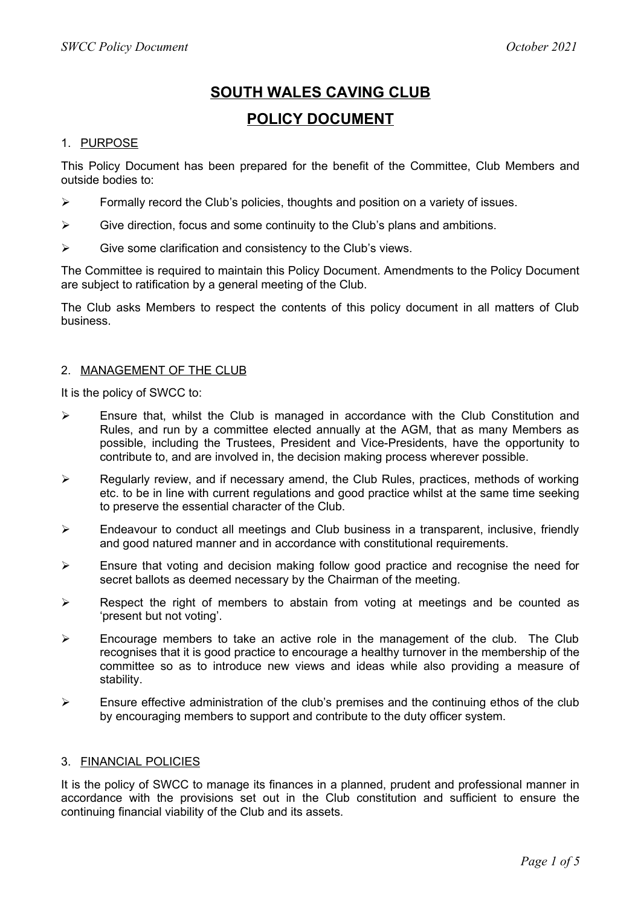# **SOUTH WALES CAVING CLUB POLICY DOCUMENT**

#### 1. PURPOSE

This Policy Document has been prepared for the benefit of the Committee, Club Members and outside bodies to:

- $\triangleright$  Formally record the Club's policies, thoughts and position on a variety of issues.
- $\triangleright$  Give direction, focus and some continuity to the Club's plans and ambitions.
- $\triangleright$  Give some clarification and consistency to the Club's views.

The Committee is required to maintain this Policy Document. Amendments to the Policy Document are subject to ratification by a general meeting of the Club.

The Club asks Members to respect the contents of this policy document in all matters of Club business.

#### 2. MANAGEMENT OF THE CLUB

It is the policy of SWCC to:

- Ensure that, whilst the Club is managed in accordance with the Club Constitution and Rules, and run by a committee elected annually at the AGM, that as many Members as possible, including the Trustees, President and Vice-Presidents, have the opportunity to contribute to, and are involved in, the decision making process wherever possible.
- $\triangleright$  Regularly review, and if necessary amend, the Club Rules, practices, methods of working etc. to be in line with current regulations and good practice whilst at the same time seeking to preserve the essential character of the Club.
- $\triangleright$  Endeavour to conduct all meetings and Club business in a transparent, inclusive, friendly and good natured manner and in accordance with constitutional requirements.
- $\triangleright$  Ensure that voting and decision making follow good practice and recognise the need for secret ballots as deemed necessary by the Chairman of the meeting.
- $\triangleright$  Respect the right of members to abstain from voting at meetings and be counted as 'present but not voting'.
- $\triangleright$  Encourage members to take an active role in the management of the club. The Club recognises that it is good practice to encourage a healthy turnover in the membership of the committee so as to introduce new views and ideas while also providing a measure of stability.
- $\triangleright$  Ensure effective administration of the club's premises and the continuing ethos of the club by encouraging members to support and contribute to the duty officer system.

#### 3. FINANCIAL POLICIES

It is the policy of SWCC to manage its finances in a planned, prudent and professional manner in accordance with the provisions set out in the Club constitution and sufficient to ensure the continuing financial viability of the Club and its assets.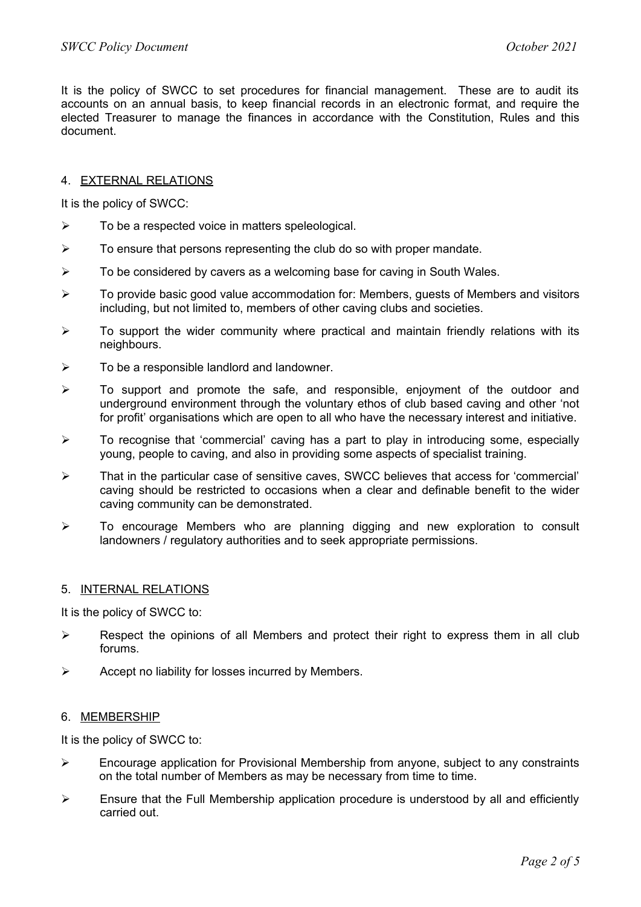It is the policy of SWCC to set procedures for financial management. These are to audit its accounts on an annual basis, to keep financial records in an electronic format, and require the elected Treasurer to manage the finances in accordance with the Constitution, Rules and this document.

# 4. EXTERNAL RELATIONS

It is the policy of SWCC:

- $\triangleright$  To be a respected voice in matters speleological.
- $\triangleright$  To ensure that persons representing the club do so with proper mandate.
- $\triangleright$  To be considered by cavers as a welcoming base for caving in South Wales.
- $\triangleright$  To provide basic good value accommodation for: Members, guests of Members and visitors including, but not limited to, members of other caving clubs and societies.
- $\triangleright$  To support the wider community where practical and maintain friendly relations with its neighbours.
- $\triangleright$  To be a responsible landlord and landowner.
- $\triangleright$  To support and promote the safe, and responsible, enjoyment of the outdoor and underground environment through the voluntary ethos of club based caving and other 'not for profit' organisations which are open to all who have the necessary interest and initiative.
- $\triangleright$  To recognise that 'commercial' caving has a part to play in introducing some, especially young, people to caving, and also in providing some aspects of specialist training.
- $\triangleright$  That in the particular case of sensitive caves, SWCC believes that access for 'commercial' caving should be restricted to occasions when a clear and definable benefit to the wider caving community can be demonstrated.
- $\triangleright$  To encourage Members who are planning digging and new exploration to consult landowners / regulatory authorities and to seek appropriate permissions.

# 5. INTERNAL RELATIONS

It is the policy of SWCC to:

- $\triangleright$  Respect the opinions of all Members and protect their right to express them in all club forums.
- $\triangleright$  Accept no liability for losses incurred by Members.

# 6. MEMBERSHIP

It is the policy of SWCC to:

- $\triangleright$  Encourage application for Provisional Membership from anyone, subject to any constraints on the total number of Members as may be necessary from time to time.
- $\triangleright$  Ensure that the Full Membership application procedure is understood by all and efficiently carried out.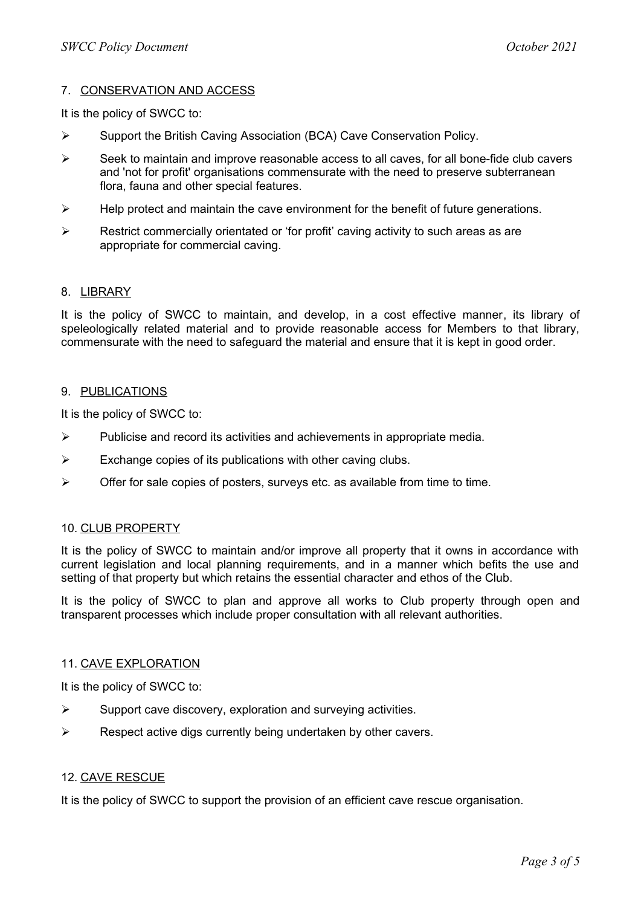# 7. CONSERVATION AND ACCESS

It is the policy of SWCC to:

- $\triangleright$  Support the British Caving Association (BCA) Cave Conservation Policy.
- $\triangleright$  Seek to maintain and improve reasonable access to all caves, for all bone-fide club cavers and 'not for profit' organisations commensurate with the need to preserve subterranean flora, fauna and other special features.
- $\triangleright$  Help protect and maintain the cave environment for the benefit of future generations.
- $\triangleright$  Restrict commercially orientated or 'for profit' caving activity to such areas as are appropriate for commercial caving.

#### 8. LIBRARY

It is the policy of SWCC to maintain, and develop, in a cost effective manner, its library of speleologically related material and to provide reasonable access for Members to that library, commensurate with the need to safeguard the material and ensure that it is kept in good order.

#### 9. PUBLICATIONS

It is the policy of SWCC to:

- $\triangleright$  Publicise and record its activities and achievements in appropriate media.
- $\triangleright$  Exchange copies of its publications with other caving clubs.
- $\triangleright$  Offer for sale copies of posters, surveys etc. as available from time to time.

# 10. CLUB PROPERTY

It is the policy of SWCC to maintain and/or improve all property that it owns in accordance with current legislation and local planning requirements, and in a manner which befits the use and setting of that property but which retains the essential character and ethos of the Club.

It is the policy of SWCC to plan and approve all works to Club property through open and transparent processes which include proper consultation with all relevant authorities.

#### 11. CAVE EXPLORATION

It is the policy of SWCC to:

- $\triangleright$  Support cave discovery, exploration and surveying activities.
- $\triangleright$  Respect active digs currently being undertaken by other cavers.

# 12. CAVE RESCUE

It is the policy of SWCC to support the provision of an efficient cave rescue organisation.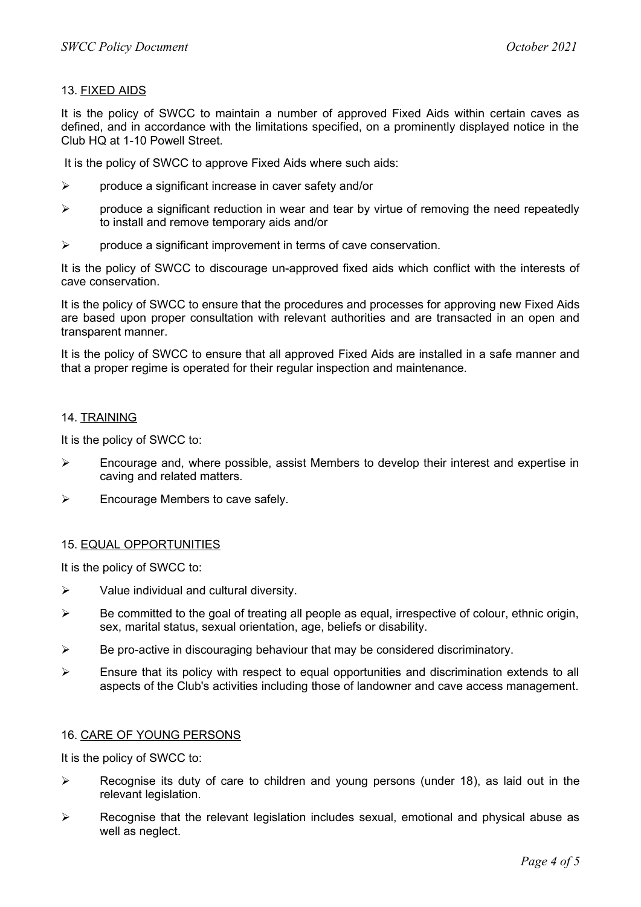# 13. FIXED AIDS

It is the policy of SWCC to maintain a number of approved Fixed Aids within certain caves as defined, and in accordance with the limitations specified, on a prominently displayed notice in the Club HQ at 1-10 Powell Street.

It is the policy of SWCC to approve Fixed Aids where such aids:

- $\triangleright$  produce a significant increase in caver safety and/or
- $\triangleright$  produce a significant reduction in wear and tear by virtue of removing the need repeatedly to install and remove temporary aids and/or
- $\triangleright$  produce a significant improvement in terms of cave conservation.

It is the policy of SWCC to discourage un-approved fixed aids which conflict with the interests of cave conservation.

It is the policy of SWCC to ensure that the procedures and processes for approving new Fixed Aids are based upon proper consultation with relevant authorities and are transacted in an open and transparent manner.

It is the policy of SWCC to ensure that all approved Fixed Aids are installed in a safe manner and that a proper regime is operated for their regular inspection and maintenance.

#### 14. TRAINING

It is the policy of SWCC to:

- $\triangleright$  Encourage and, where possible, assist Members to develop their interest and expertise in caving and related matters.
- $\triangleright$  Encourage Members to cave safely.

# 15. EQUAL OPPORTUNITIES

It is the policy of SWCC to:

- $\triangleright$  Value individual and cultural diversity.
- $\triangleright$  Be committed to the goal of treating all people as equal, irrespective of colour, ethnic origin, sex, marital status, sexual orientation, age, beliefs or disability.
- $\triangleright$  Be pro-active in discouraging behaviour that may be considered discriminatory.
- $\triangleright$  Ensure that its policy with respect to equal opportunities and discrimination extends to all aspects of the Club's activities including those of landowner and cave access management.

#### 16. CARE OF YOUNG PERSONS

It is the policy of SWCC to:

- $\triangleright$  Recognise its duty of care to children and young persons (under 18), as laid out in the relevant legislation.
- $\triangleright$  Recognise that the relevant legislation includes sexual, emotional and physical abuse as well as neglect.